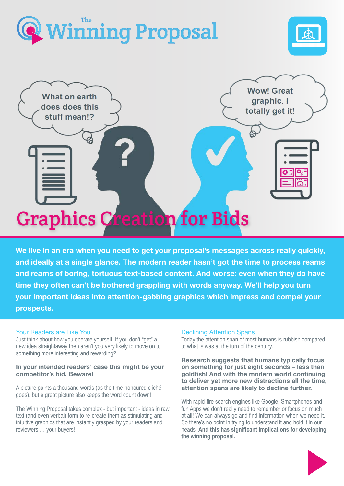



**Wow! Great** 

graphic. I

totally get it!

What on earth does does this stuff mean!?

# Graphics Creation for Bids

We live in an era when you need to get your proposal's messages across really quickly, and ideally at a single glance. The modern reader hasn't got the time to process reams and reams of boring, tortuous text-based content. And worse: even when they do have time they often can't be bothered grappling with words anyway. We'll help you turn your important ideas into attention-gabbing graphics which impress and compel your prospects.

#### Your Readers are Like You

Just think about how you operate yourself. If you don't "get" a new idea straightaway then aren't you very likely to move on to something more interesting and rewarding?

#### In your intended readers' case this might be your competitor's bid. Beware!

A picture paints a thousand words (as the time-honoured cliché goes), but a great picture also keeps the word count down!

The Winning Proposal takes complex - but important - ideas in raw text (and even verbal) form to re-create them as stimulating and intuitive graphics that are instantly grasped by your readers and reviewers … your buyers!

## Declining Attention Spans

Today the attention span of most humans is rubbish compared to what is was at the turn of the century.

Research suggests that humans typically focus on something for just eight seconds – less than goldfish! And with the modern world continuing to deliver yet more new distractions all the time, attention spans are likely to decline further.

With rapid-fire search engines like Google, Smartphones and fun Apps we don't really need to remember or focus on much at all! We can always go and find information when we need it. So there's no point in trying to understand it and hold it in our heads. **And this has significant implications for developing the winning proposal.**

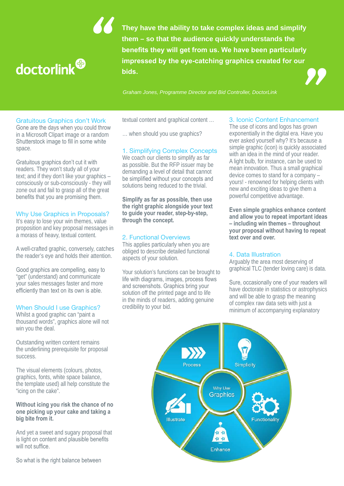

**From us. We have been particularly<br>
<b>Strategy and Marketing Strategy and Marketing Strategy and Director and Bid Controller, DoctorLink They have the ability to take complex ideas and simplify them – so that the audience quickly understands the benefits they will get from us. We have been particularly impressed by the eye-catching graphics created for our**  them – so that the audience quickly understands the<br>benefits they will get from us. We have been particularly<br>impressed by the eye-catching graphics created for our<br>bids.

*Graham Jones, Programme Director and Bid Controller, DoctorLink*

#### Gratuitous Graphics don't Work

Gone are the days when you could throw in a Microsoft Clipart image or a random Shutterstock image to fill in some white space.

Gratuitous graphics don't cut it with readers. They won't study all of your text; and if they don't like your graphics – consciously or sub-consciously - they will zone out and fail to grasp all of the great benefits that you are promising them.

### Why Use Graphics in Proposals?

It's easy to lose your win themes, value proposition and key proposal messages in a morass of heavy, textual content.

A well-crafted graphic, conversely, catches the reader's eye and holds their attention.

Good graphics are compelling, easy to "get" (understand) and communicate your sales messages faster and more efficiently than text on its own is able.

#### When Should I use Graphics?

Whilst a good graphic can "paint a thousand words", graphics alone will not win you the deal.

Outstanding written content remains the underlining prerequisite for proposal success.

The visual elements (colours, photos, graphics, fonts, white space balance, the template used) all help constitute the "icing on the cake".

#### **Without icing you risk the chance of no one picking up your cake and taking a big bite from it.**

And yet a sweet and sugary proposal that is light on content and plausible benefits will not suffice.

So what is the right balance between

textual content and graphical content …

… when should you use graphics?

### 1. Simplifying Complex Concepts

We coach our clients to simplify as far as possible. But the RFP issuer may be demanding a level of detail that cannot be simplified without your concepts and solutions being reduced to the trivial.

**Simplify as far as possible, then use the right graphic alongside your text to guide your reader, step-by-step, through the concept.**

### 2. Functional Overviews

This applies particularly when you are obliged to describe detailed functional aspects of your solution.

Your solution's functions can be brought to life with diagrams, images, process flows and screenshots. Graphics bring your solution off the printed page and to life in the minds of readers, adding genuine credibility to your bid.

### 3. Iconic Content Enhancement

The use of icons and logos has grown exponentially in the digital era. Have you ever asked yourself why? It's because a simple graphic (icon) is quickly associated with an idea in the mind of your reader. A light bulb, for instance, can be used to mean innovation. Thus a small graphical device comes to stand for a company – yours! - renowned for helping clients with new and exciting ideas to give them a powerful competitive advantage.

**Even simple graphics enhance content and allow you to repeat important ideas – including win themes – throughout your proposal without having to repeat text over and over.**

#### 4. Data Illustration

Arguably the area most deserving of graphical TLC (tender loving care) is data.

Sure, occasionally one of your readers will have doctorate in statistics or astrophysics and will be able to grasp the meaning of complex raw data sets with just a minimum of accompanying explanatory

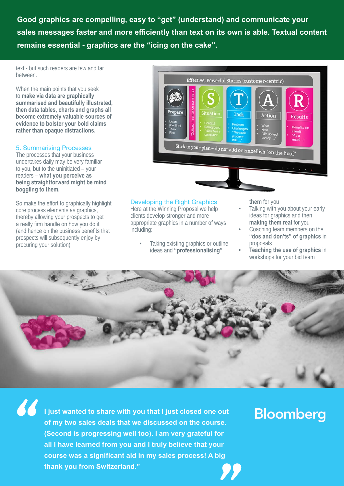**Good graphics are compelling, easy to "get" (understand) and communicate your sales messages faster and more efficiently than text on its own is able. Textual content remains essential - graphics are the "icing on the cake".**

text - but such readers are few and far between.

When the main points that you seek to **make via data are graphically summarised and beautifully illustrated, then data tables, charts and graphs all become extremely valuable sources of evidence to bolster your bold claims rather than opaque distractions.** 

### 5. Summarising Processes

The processes that your business undertakes daily may be very familiar to you, but to the uninitiated – your readers – **what you perceive as being straightforward might be mind boggling to them.** 

So make the effort to graphically highlight core process elements as graphics, thereby allowing your prospects to get a really firm handle on how you do it (and hence on the business benefits that prospects will subsequently enjoy by procuring your solution).

*"*



#### Developing the Right Graphics

Here at the Winning Proposal we help clients develop stronger and more appropriate graphics in a number of ways including:

• Taking existing graphics or outline ideas and **"professionalising"** 

**them** for you

- Talking with you about your early ideas for graphics and then **making them real** for you
- Coaching team members on the **"dos and don'ts" of graphics** in proposals
- **• Teaching the use of graphics** in workshops for your bid team



**I just wanted to share with you that I just closed one out of my two sales deals that we discussed on the course. (Second is progressing well too). I am very grateful for all I have learned from you and I truly believe that your course was a significant aid in my sales process! A big thank you from Switzerland."** <sup>or</sup><br><sup>ig</sup><br>??

# **Bloomberg**